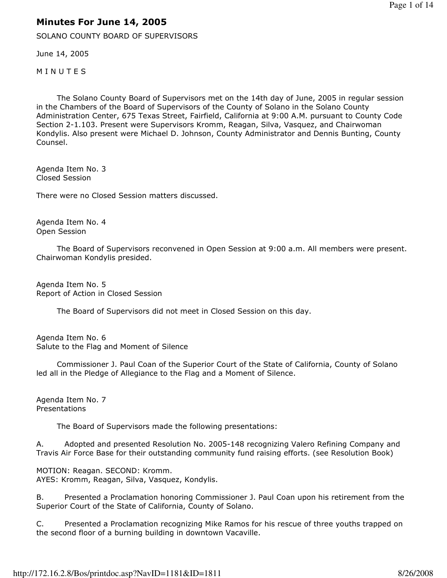## Minutes For June 14, 2005

SOLANO COUNTY BOARD OF SUPERVISORS

June 14, 2005

**MINUTES** 

 The Solano County Board of Supervisors met on the 14th day of June, 2005 in regular session in the Chambers of the Board of Supervisors of the County of Solano in the Solano County Administration Center, 675 Texas Street, Fairfield, California at 9:00 A.M. pursuant to County Code Section 2-1.103. Present were Supervisors Kromm, Reagan, Silva, Vasquez, and Chairwoman Kondylis. Also present were Michael D. Johnson, County Administrator and Dennis Bunting, County Counsel.

Agenda Item No. 3 Closed Session

There were no Closed Session matters discussed.

Agenda Item No. 4 Open Session

 The Board of Supervisors reconvened in Open Session at 9:00 a.m. All members were present. Chairwoman Kondylis presided.

Agenda Item No. 5 Report of Action in Closed Session

The Board of Supervisors did not meet in Closed Session on this day.

Agenda Item No. 6 Salute to the Flag and Moment of Silence

 Commissioner J. Paul Coan of the Superior Court of the State of California, County of Solano led all in the Pledge of Allegiance to the Flag and a Moment of Silence.

Agenda Item No. 7 Presentations

The Board of Supervisors made the following presentations:

A. Adopted and presented Resolution No. 2005-148 recognizing Valero Refining Company and Travis Air Force Base for their outstanding community fund raising efforts. (see Resolution Book)

MOTION: Reagan. SECOND: Kromm. AYES: Kromm, Reagan, Silva, Vasquez, Kondylis.

B. Presented a Proclamation honoring Commissioner J. Paul Coan upon his retirement from the Superior Court of the State of California, County of Solano.

C. Presented a Proclamation recognizing Mike Ramos for his rescue of three youths trapped on the second floor of a burning building in downtown Vacaville.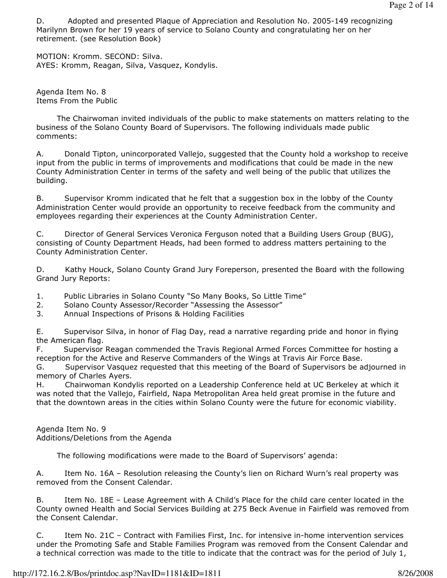D. Adopted and presented Plaque of Appreciation and Resolution No. 2005-149 recognizing Marilynn Brown for her 19 years of service to Solano County and congratulating her on her retirement. (see Resolution Book)

MOTION: Kromm. SECOND: Silva. AYES: Kromm, Reagan, Silva, Vasquez, Kondylis.

Agenda Item No. 8 Items From the Public

 The Chairwoman invited individuals of the public to make statements on matters relating to the business of the Solano County Board of Supervisors. The following individuals made public comments:

A. Donald Tipton, unincorporated Vallejo, suggested that the County hold a workshop to receive input from the public in terms of improvements and modifications that could be made in the new County Administration Center in terms of the safety and well being of the public that utilizes the building.

B. Supervisor Kromm indicated that he felt that a suggestion box in the lobby of the County Administration Center would provide an opportunity to receive feedback from the community and employees regarding their experiences at the County Administration Center.

C. Director of General Services Veronica Ferguson noted that a Building Users Group (BUG), consisting of County Department Heads, had been formed to address matters pertaining to the County Administration Center.

D. Kathy Houck, Solano County Grand Jury Foreperson, presented the Board with the following Grand Jury Reports:

1. Public Libraries in Solano County "So Many Books, So Little Time"

2. Solano County Assessor/Recorder "Assessing the Assessor"

3. Annual Inspections of Prisons & Holding Facilities

E. Supervisor Silva, in honor of Flag Day, read a narrative regarding pride and honor in flying the American flag.

F. Supervisor Reagan commended the Travis Regional Armed Forces Committee for hosting a reception for the Active and Reserve Commanders of the Wings at Travis Air Force Base.

G. Supervisor Vasquez requested that this meeting of the Board of Supervisors be adjourned in memory of Charles Ayers.

H. Chairwoman Kondylis reported on a Leadership Conference held at UC Berkeley at which it was noted that the Vallejo, Fairfield, Napa Metropolitan Area held great promise in the future and that the downtown areas in the cities within Solano County were the future for economic viability.

Agenda Item No. 9 Additions/Deletions from the Agenda

The following modifications were made to the Board of Supervisors' agenda:

A. Item No. 16A – Resolution releasing the County's lien on Richard Wurn's real property was removed from the Consent Calendar.

B. Item No. 18E – Lease Agreement with A Child's Place for the child care center located in the County owned Health and Social Services Building at 275 Beck Avenue in Fairfield was removed from the Consent Calendar.

C. Item No. 21C – Contract with Families First, Inc. for intensive in-home intervention services under the Promoting Safe and Stable Families Program was removed from the Consent Calendar and a technical correction was made to the title to indicate that the contract was for the period of July 1,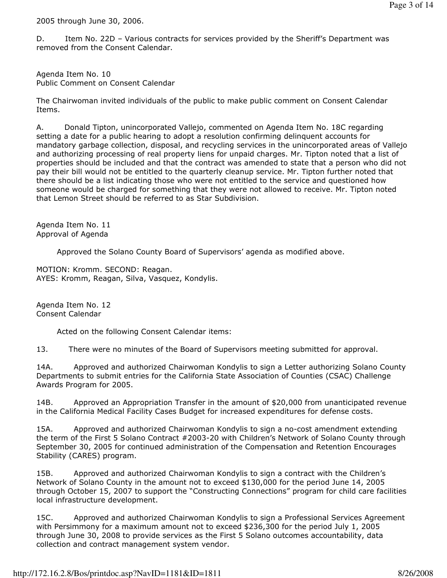2005 through June 30, 2006.

D. Item No. 22D – Various contracts for services provided by the Sheriff's Department was removed from the Consent Calendar.

Agenda Item No. 10 Public Comment on Consent Calendar

The Chairwoman invited individuals of the public to make public comment on Consent Calendar Items.

A. Donald Tipton, unincorporated Vallejo, commented on Agenda Item No. 18C regarding setting a date for a public hearing to adopt a resolution confirming delinquent accounts for mandatory garbage collection, disposal, and recycling services in the unincorporated areas of Vallejo and authorizing processing of real property liens for unpaid charges. Mr. Tipton noted that a list of properties should be included and that the contract was amended to state that a person who did not pay their bill would not be entitled to the quarterly cleanup service. Mr. Tipton further noted that there should be a list indicating those who were not entitled to the service and questioned how someone would be charged for something that they were not allowed to receive. Mr. Tipton noted that Lemon Street should be referred to as Star Subdivision.

Agenda Item No. 11 Approval of Agenda

Approved the Solano County Board of Supervisors' agenda as modified above.

MOTION: Kromm. SECOND: Reagan. AYES: Kromm, Reagan, Silva, Vasquez, Kondylis.

Agenda Item No. 12 Consent Calendar

Acted on the following Consent Calendar items:

13. There were no minutes of the Board of Supervisors meeting submitted for approval.

14A. Approved and authorized Chairwoman Kondylis to sign a Letter authorizing Solano County Departments to submit entries for the California State Association of Counties (CSAC) Challenge Awards Program for 2005.

14B. Approved an Appropriation Transfer in the amount of \$20,000 from unanticipated revenue in the California Medical Facility Cases Budget for increased expenditures for defense costs.

15A. Approved and authorized Chairwoman Kondylis to sign a no-cost amendment extending the term of the First 5 Solano Contract #2003-20 with Children's Network of Solano County through September 30, 2005 for continued administration of the Compensation and Retention Encourages Stability (CARES) program.

15B. Approved and authorized Chairwoman Kondylis to sign a contract with the Children's Network of Solano County in the amount not to exceed \$130,000 for the period June 14, 2005 through October 15, 2007 to support the "Constructing Connections" program for child care facilities local infrastructure development.

15C. Approved and authorized Chairwoman Kondylis to sign a Professional Services Agreement with Persimmony for a maximum amount not to exceed \$236,300 for the period July 1, 2005 through June 30, 2008 to provide services as the First 5 Solano outcomes accountability, data collection and contract management system vendor.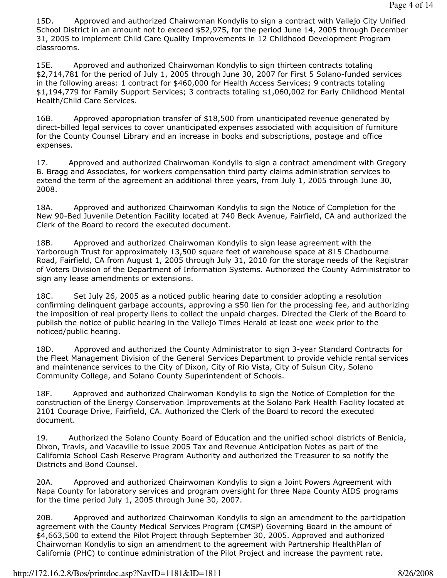15D. Approved and authorized Chairwoman Kondylis to sign a contract with Vallejo City Unified School District in an amount not to exceed \$52,975, for the period June 14, 2005 through December 31, 2005 to implement Child Care Quality Improvements in 12 Childhood Development Program classrooms.

15E. Approved and authorized Chairwoman Kondylis to sign thirteen contracts totaling \$2,714,781 for the period of July 1, 2005 through June 30, 2007 for First 5 Solano-funded services in the following areas: 1 contract for \$460,000 for Health Access Services; 9 contracts totaling \$1,194,779 for Family Support Services; 3 contracts totaling \$1,060,002 for Early Childhood Mental Health/Child Care Services.

16B. Approved appropriation transfer of \$18,500 from unanticipated revenue generated by direct-billed legal services to cover unanticipated expenses associated with acquisition of furniture for the County Counsel Library and an increase in books and subscriptions, postage and office expenses.

17. Approved and authorized Chairwoman Kondylis to sign a contract amendment with Gregory B. Bragg and Associates, for workers compensation third party claims administration services to extend the term of the agreement an additional three years, from July 1, 2005 through June 30, 2008.

18A. Approved and authorized Chairwoman Kondylis to sign the Notice of Completion for the New 90-Bed Juvenile Detention Facility located at 740 Beck Avenue, Fairfield, CA and authorized the Clerk of the Board to record the executed document.

18B. Approved and authorized Chairwoman Kondylis to sign lease agreement with the Yarborough Trust for approximately 13,500 square feet of warehouse space at 815 Chadbourne Road, Fairfield, CA from August 1, 2005 through July 31, 2010 for the storage needs of the Registrar of Voters Division of the Department of Information Systems. Authorized the County Administrator to sign any lease amendments or extensions.

18C. Set July 26, 2005 as a noticed public hearing date to consider adopting a resolution confirming delinquent garbage accounts, approving a \$50 lien for the processing fee, and authorizing the imposition of real property liens to collect the unpaid charges. Directed the Clerk of the Board to publish the notice of public hearing in the Vallejo Times Herald at least one week prior to the noticed/public hearing.

18D. Approved and authorized the County Administrator to sign 3-year Standard Contracts for the Fleet Management Division of the General Services Department to provide vehicle rental services and maintenance services to the City of Dixon, City of Rio Vista, City of Suisun City, Solano Community College, and Solano County Superintendent of Schools.

18F. Approved and authorized Chairwoman Kondylis to sign the Notice of Completion for the construction of the Energy Conservation Improvements at the Solano Park Health Facility located at 2101 Courage Drive, Fairfield, CA. Authorized the Clerk of the Board to record the executed document.

19. Authorized the Solano County Board of Education and the unified school districts of Benicia, Dixon, Travis, and Vacaville to issue 2005 Tax and Revenue Anticipation Notes as part of the California School Cash Reserve Program Authority and authorized the Treasurer to so notify the Districts and Bond Counsel.

20A. Approved and authorized Chairwoman Kondylis to sign a Joint Powers Agreement with Napa County for laboratory services and program oversight for three Napa County AIDS programs for the time period July 1, 2005 through June 30, 2007.

20B. Approved and authorized Chairwoman Kondylis to sign an amendment to the participation agreement with the County Medical Services Program (CMSP) Governing Board in the amount of \$4,663,500 to extend the Pilot Project through September 30, 2005. Approved and authorized Chairwoman Kondylis to sign an amendment to the agreement with Partnership HealthPlan of California (PHC) to continue administration of the Pilot Project and increase the payment rate.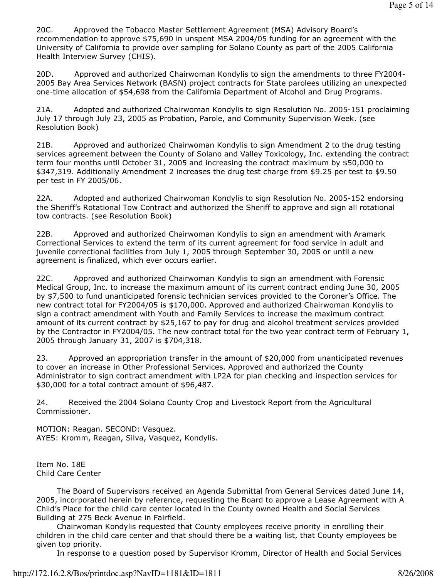20C. Approved the Tobacco Master Settlement Agreement (MSA) Advisory Board's recommendation to approve \$75,690 in unspent MSA 2004/05 funding for an agreement with the University of California to provide over sampling for Solano County as part of the 2005 California Health Interview Survey (CHIS).

20D. Approved and authorized Chairwoman Kondylis to sign the amendments to three FY2004- 2005 Bay Area Services Network (BASN) project contracts for State parolees utilizing an unexpected one-time allocation of \$54,698 from the California Department of Alcohol and Drug Programs.

21A. Adopted and authorized Chairwoman Kondylis to sign Resolution No. 2005-151 proclaiming July 17 through July 23, 2005 as Probation, Parole, and Community Supervision Week. (see Resolution Book)

21B. Approved and authorized Chairwoman Kondylis to sign Amendment 2 to the drug testing services agreement between the County of Solano and Valley Toxicology, Inc. extending the contract term four months until October 31, 2005 and increasing the contract maximum by \$50,000 to \$347,319. Additionally Amendment 2 increases the drug test charge from \$9.25 per test to \$9.50 per test in FY 2005/06.

22A. Adopted and authorized Chairwoman Kondylis to sign Resolution No. 2005-152 endorsing the Sheriff's Rotational Tow Contract and authorized the Sheriff to approve and sign all rotational tow contracts. (see Resolution Book)

22B. Approved and authorized Chairwoman Kondylis to sign an amendment with Aramark Correctional Services to extend the term of its current agreement for food service in adult and juvenile correctional facilities from July 1, 2005 through September 30, 2005 or until a new agreement is finalized, which ever occurs earlier.

22C. Approved and authorized Chairwoman Kondylis to sign an amendment with Forensic Medical Group, Inc. to increase the maximum amount of its current contract ending June 30, 2005 by \$7,500 to fund unanticipated forensic technician services provided to the Coroner's Office. The new contract total for FY2004/05 is \$170,000. Approved and authorized Chairwoman Kondylis to sign a contract amendment with Youth and Family Services to increase the maximum contract amount of its current contract by \$25,167 to pay for drug and alcohol treatment services provided by the Contractor in FY2004/05. The new contract total for the two year contract term of February 1, 2005 through January 31, 2007 is \$704,318.

23. Approved an appropriation transfer in the amount of \$20,000 from unanticipated revenues to cover an increase in Other Professional Services. Approved and authorized the County Administrator to sign contract amendment with LP2A for plan checking and inspection services for \$30,000 for a total contract amount of \$96,487.

24. Received the 2004 Solano County Crop and Livestock Report from the Agricultural Commissioner.

MOTION: Reagan. SECOND: Vasquez. AYES: Kromm, Reagan, Silva, Vasquez, Kondylis.

Item No. 18E Child Care Center

 The Board of Supervisors received an Agenda Submittal from General Services dated June 14, 2005, incorporated herein by reference, requesting the Board to approve a Lease Agreement with A Child's Place for the child care center located in the County owned Health and Social Services Building at 275 Beck Avenue in Fairfield.

 Chairwoman Kondylis requested that County employees receive priority in enrolling their children in the child care center and that should there be a waiting list, that County employees be given top priority.

In response to a question posed by Supervisor Kromm, Director of Health and Social Services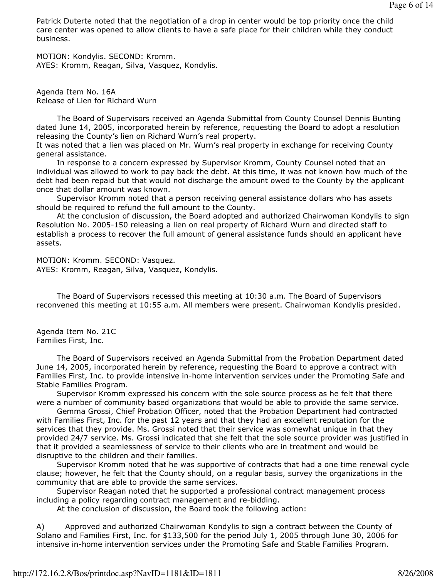Patrick Duterte noted that the negotiation of a drop in center would be top priority once the child care center was opened to allow clients to have a safe place for their children while they conduct business.

MOTION: Kondylis. SECOND: Kromm. AYES: Kromm, Reagan, Silva, Vasquez, Kondylis.

Agenda Item No. 16A Release of Lien for Richard Wurn

 The Board of Supervisors received an Agenda Submittal from County Counsel Dennis Bunting dated June 14, 2005, incorporated herein by reference, requesting the Board to adopt a resolution releasing the County's lien on Richard Wurn's real property.

It was noted that a lien was placed on Mr. Wurn's real property in exchange for receiving County general assistance.

 In response to a concern expressed by Supervisor Kromm, County Counsel noted that an individual was allowed to work to pay back the debt. At this time, it was not known how much of the debt had been repaid but that would not discharge the amount owed to the County by the applicant once that dollar amount was known.

 Supervisor Kromm noted that a person receiving general assistance dollars who has assets should be required to refund the full amount to the County.

 At the conclusion of discussion, the Board adopted and authorized Chairwoman Kondylis to sign Resolution No. 2005-150 releasing a lien on real property of Richard Wurn and directed staff to establish a process to recover the full amount of general assistance funds should an applicant have assets.

MOTION: Kromm. SECOND: Vasquez. AYES: Kromm, Reagan, Silva, Vasquez, Kondylis.

 The Board of Supervisors recessed this meeting at 10:30 a.m. The Board of Supervisors reconvened this meeting at 10:55 a.m. All members were present. Chairwoman Kondylis presided.

Agenda Item No. 21C Families First, Inc.

 The Board of Supervisors received an Agenda Submittal from the Probation Department dated June 14, 2005, incorporated herein by reference, requesting the Board to approve a contract with Families First, Inc. to provide intensive in-home intervention services under the Promoting Safe and Stable Families Program.

 Supervisor Kromm expressed his concern with the sole source process as he felt that there were a number of community based organizations that would be able to provide the same service.

 Gemma Grossi, Chief Probation Officer, noted that the Probation Department had contracted with Families First, Inc. for the past 12 years and that they had an excellent reputation for the services that they provide. Ms. Grossi noted that their service was somewhat unique in that they provided 24/7 service. Ms. Grossi indicated that she felt that the sole source provider was justified in that it provided a seamlessness of service to their clients who are in treatment and would be disruptive to the children and their families.

 Supervisor Kromm noted that he was supportive of contracts that had a one time renewal cycle clause; however, he felt that the County should, on a regular basis, survey the organizations in the community that are able to provide the same services.

 Supervisor Reagan noted that he supported a professional contract management process including a policy regarding contract management and re-bidding.

At the conclusion of discussion, the Board took the following action:

A) Approved and authorized Chairwoman Kondylis to sign a contract between the County of Solano and Families First, Inc. for \$133,500 for the period July 1, 2005 through June 30, 2006 for intensive in-home intervention services under the Promoting Safe and Stable Families Program.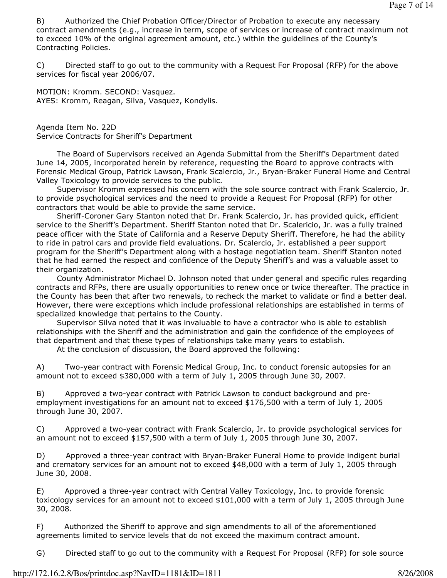B) Authorized the Chief Probation Officer/Director of Probation to execute any necessary contract amendments (e.g., increase in term, scope of services or increase of contract maximum not to exceed 10% of the original agreement amount, etc.) within the guidelines of the County's Contracting Policies.

C) Directed staff to go out to the community with a Request For Proposal (RFP) for the above services for fiscal year 2006/07.

MOTION: Kromm. SECOND: Vasquez. AYES: Kromm, Reagan, Silva, Vasquez, Kondylis.

Agenda Item No. 22D Service Contracts for Sheriff's Department

 The Board of Supervisors received an Agenda Submittal from the Sheriff's Department dated June 14, 2005, incorporated herein by reference, requesting the Board to approve contracts with Forensic Medical Group, Patrick Lawson, Frank Scalercio, Jr., Bryan-Braker Funeral Home and Central Valley Toxicology to provide services to the public.

 Supervisor Kromm expressed his concern with the sole source contract with Frank Scalercio, Jr. to provide psychological services and the need to provide a Request For Proposal (RFP) for other contractors that would be able to provide the same service.

 Sheriff-Coroner Gary Stanton noted that Dr. Frank Scalercio, Jr. has provided quick, efficient service to the Sheriff's Department. Sheriff Stanton noted that Dr. Scalericio, Jr. was a fully trained peace officer with the State of California and a Reserve Deputy Sheriff. Therefore, he had the ability to ride in patrol cars and provide field evaluations. Dr. Scalercio, Jr. established a peer support program for the Sheriff's Department along with a hostage negotiation team. Sheriff Stanton noted that he had earned the respect and confidence of the Deputy Sheriff's and was a valuable asset to their organization.

 County Administrator Michael D. Johnson noted that under general and specific rules regarding contracts and RFPs, there are usually opportunities to renew once or twice thereafter. The practice in the County has been that after two renewals, to recheck the market to validate or find a better deal. However, there were exceptions which include professional relationships are established in terms of specialized knowledge that pertains to the County.

 Supervisor Silva noted that it was invaluable to have a contractor who is able to establish relationships with the Sheriff and the administration and gain the confidence of the employees of that department and that these types of relationships take many years to establish.

At the conclusion of discussion, the Board approved the following:

A) Two-year contract with Forensic Medical Group, Inc. to conduct forensic autopsies for an amount not to exceed \$380,000 with a term of July 1, 2005 through June 30, 2007.

B) Approved a two-year contract with Patrick Lawson to conduct background and preemployment investigations for an amount not to exceed \$176,500 with a term of July 1, 2005 through June 30, 2007.

C) Approved a two-year contract with Frank Scalercio, Jr. to provide psychological services for an amount not to exceed \$157,500 with a term of July 1, 2005 through June 30, 2007.

D) Approved a three-year contract with Bryan-Braker Funeral Home to provide indigent burial and crematory services for an amount not to exceed \$48,000 with a term of July 1, 2005 through June 30, 2008.

E) Approved a three-year contract with Central Valley Toxicology, Inc. to provide forensic toxicology services for an amount not to exceed \$101,000 with a term of July 1, 2005 through June 30, 2008.

F) Authorized the Sheriff to approve and sign amendments to all of the aforementioned agreements limited to service levels that do not exceed the maximum contract amount.

G) Directed staff to go out to the community with a Request For Proposal (RFP) for sole source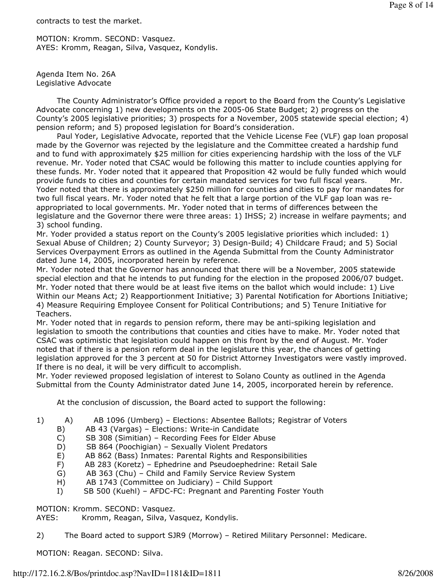contracts to test the market.

MOTION: Kromm. SECOND: Vasquez. AYES: Kromm, Reagan, Silva, Vasquez, Kondylis.

Agenda Item No. 26A Legislative Advocate

 The County Administrator's Office provided a report to the Board from the County's Legislative Advocate concerning 1) new developments on the 2005-06 State Budget; 2) progress on the County's 2005 legislative priorities; 3) prospects for a November, 2005 statewide special election; 4) pension reform; and 5) proposed legislation for Board's consideration.

 Paul Yoder, Legislative Advocate, reported that the Vehicle License Fee (VLF) gap loan proposal made by the Governor was rejected by the legislature and the Committee created a hardship fund and to fund with approximately \$25 million for cities experiencing hardship with the loss of the VLF revenue. Mr. Yoder noted that CSAC would be following this matter to include counties applying for these funds. Mr. Yoder noted that it appeared that Proposition 42 would be fully funded which would provide funds to cities and counties for certain mandated services for two full fiscal years. Mr. Yoder noted that there is approximately \$250 million for counties and cities to pay for mandates for two full fiscal years. Mr. Yoder noted that he felt that a large portion of the VLF gap loan was reappropriated to local governments. Mr. Yoder noted that in terms of differences between the legislature and the Governor there were three areas: 1) IHSS; 2) increase in welfare payments; and 3) school funding.

Mr. Yoder provided a status report on the County's 2005 legislative priorities which included: 1) Sexual Abuse of Children; 2) County Surveyor; 3) Design-Build; 4) Childcare Fraud; and 5) Social Services Overpayment Errors as outlined in the Agenda Submittal from the County Administrator dated June 14, 2005, incorporated herein by reference.

Mr. Yoder noted that the Governor has announced that there will be a November, 2005 statewide special election and that he intends to put funding for the election in the proposed 2006/07 budget. Mr. Yoder noted that there would be at least five items on the ballot which would include: 1) Live Within our Means Act; 2) Reapportionment Initiative; 3) Parental Notification for Abortions Initiative; 4) Measure Requiring Employee Consent for Political Contributions; and 5) Tenure Initiative for Teachers.

Mr. Yoder noted that in regards to pension reform, there may be anti-spiking legislation and legislation to smooth the contributions that counties and cities have to make. Mr. Yoder noted that CSAC was optimistic that legislation could happen on this front by the end of August. Mr. Yoder noted that if there is a pension reform deal in the legislature this year, the chances of getting legislation approved for the 3 percent at 50 for District Attorney Investigators were vastly improved. If there is no deal, it will be very difficult to accomplish.

Mr. Yoder reviewed proposed legislation of interest to Solano County as outlined in the Agenda Submittal from the County Administrator dated June 14, 2005, incorporated herein by reference.

At the conclusion of discussion, the Board acted to support the following:

- 1) A) AB 1096 (Umberg) Elections: Absentee Ballots; Registrar of Voters
	- B) AB 43 (Vargas) Elections: Write-in Candidate
	- C) SB 308 (Simitian) Recording Fees for Elder Abuse
	- D) SB 864 (Poochigian) Sexually Violent Predators
	- E) AB 862 (Bass) Inmates: Parental Rights and Responsibilities
	- F) AB 283 (Koretz) Ephedrine and Pseudoephedrine: Retail Sale
	- G) AB 363 (Chu) Child and Family Service Review System
	- H) AB 1743 (Committee on Judiciary) Child Support
	- I) SB 500 (Kuehl) AFDC-FC: Pregnant and Parenting Foster Youth

MOTION: Kromm. SECOND: Vasquez.

AYES: Kromm, Reagan, Silva, Vasquez, Kondylis.

2) The Board acted to support SJR9 (Morrow) – Retired Military Personnel: Medicare.

MOTION: Reagan. SECOND: Silva.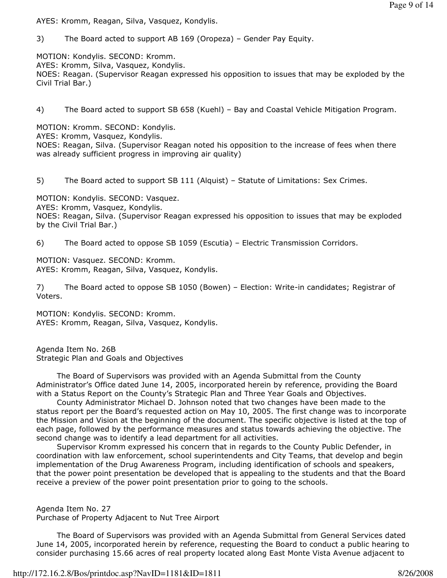AYES: Kromm, Reagan, Silva, Vasquez, Kondylis.

3) The Board acted to support AB 169 (Oropeza) – Gender Pay Equity.

MOTION: Kondylis. SECOND: Kromm.

AYES: Kromm, Silva, Vasquez, Kondylis.

NOES: Reagan. (Supervisor Reagan expressed his opposition to issues that may be exploded by the Civil Trial Bar.)

4) The Board acted to support SB 658 (Kuehl) – Bay and Coastal Vehicle Mitigation Program.

MOTION: Kromm. SECOND: Kondylis.

AYES: Kromm, Vasquez, Kondylis.

NOES: Reagan, Silva. (Supervisor Reagan noted his opposition to the increase of fees when there was already sufficient progress in improving air quality)

5) The Board acted to support SB 111 (Alquist) – Statute of Limitations: Sex Crimes.

MOTION: Kondylis. SECOND: Vasquez.

AYES: Kromm, Vasquez, Kondylis.

NOES: Reagan, Silva. (Supervisor Reagan expressed his opposition to issues that may be exploded by the Civil Trial Bar.)

6) The Board acted to oppose SB 1059 (Escutia) – Electric Transmission Corridors.

MOTION: Vasquez. SECOND: Kromm. AYES: Kromm, Reagan, Silva, Vasquez, Kondylis.

7) The Board acted to oppose SB 1050 (Bowen) – Election: Write-in candidates; Registrar of Voters.

MOTION: Kondylis. SECOND: Kromm. AYES: Kromm, Reagan, Silva, Vasquez, Kondylis.

Agenda Item No. 26B Strategic Plan and Goals and Objectives

 The Board of Supervisors was provided with an Agenda Submittal from the County Administrator's Office dated June 14, 2005, incorporated herein by reference, providing the Board with a Status Report on the County's Strategic Plan and Three Year Goals and Objectives.

 County Administrator Michael D. Johnson noted that two changes have been made to the status report per the Board's requested action on May 10, 2005. The first change was to incorporate the Mission and Vision at the beginning of the document. The specific objective is listed at the top of each page, followed by the performance measures and status towards achieving the objective. The second change was to identify a lead department for all activities.

 Supervisor Kromm expressed his concern that in regards to the County Public Defender, in coordination with law enforcement, school superintendents and City Teams, that develop and begin implementation of the Drug Awareness Program, including identification of schools and speakers, that the power point presentation be developed that is appealing to the students and that the Board receive a preview of the power point presentation prior to going to the schools.

Agenda Item No. 27 Purchase of Property Adjacent to Nut Tree Airport

 The Board of Supervisors was provided with an Agenda Submittal from General Services dated June 14, 2005, incorporated herein by reference, requesting the Board to conduct a public hearing to consider purchasing 15.66 acres of real property located along East Monte Vista Avenue adjacent to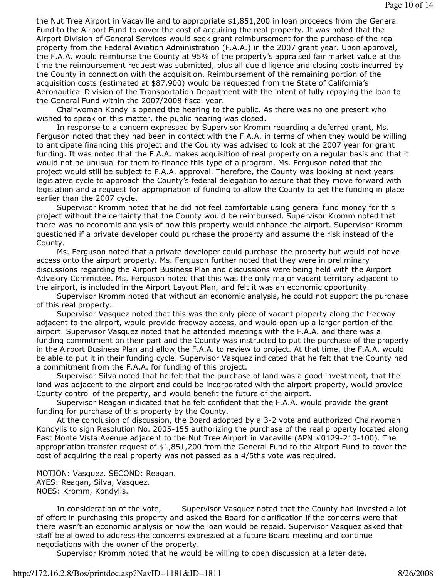the Nut Tree Airport in Vacaville and to appropriate \$1,851,200 in loan proceeds from the General Fund to the Airport Fund to cover the cost of acquiring the real property. It was noted that the Airport Division of General Services would seek grant reimbursement for the purchase of the real property from the Federal Aviation Administration (F.A.A.) in the 2007 grant year. Upon approval, the F.A.A. would reimburse the County at 95% of the property's appraised fair market value at the time the reimbursement request was submitted, plus all due diligence and closing costs incurred by the County in connection with the acquisition. Reimbursement of the remaining portion of the acquisition costs (estimated at \$87,900) would be requested from the State of California's Aeronautical Division of the Transportation Department with the intent of fully repaying the loan to the General Fund within the 2007/2008 fiscal year.

 Chairwoman Kondylis opened the hearing to the public. As there was no one present who wished to speak on this matter, the public hearing was closed.

 In response to a concern expressed by Supervisor Kromm regarding a deferred grant, Ms. Ferguson noted that they had been in contact with the F.A.A. in terms of when they would be willing to anticipate financing this project and the County was advised to look at the 2007 year for grant funding. It was noted that the F.A.A. makes acquisition of real property on a regular basis and that it would not be unusual for them to finance this type of a program. Ms. Ferguson noted that the project would still be subject to F.A.A. approval. Therefore, the County was looking at next years legislative cycle to approach the County's federal delegation to assure that they move forward with legislation and a request for appropriation of funding to allow the County to get the funding in place earlier than the 2007 cycle.

 Supervisor Kromm noted that he did not feel comfortable using general fund money for this project without the certainty that the County would be reimbursed. Supervisor Kromm noted that there was no economic analysis of how this property would enhance the airport. Supervisor Kromm questioned if a private developer could purchase the property and assume the risk instead of the County.

 Ms. Ferguson noted that a private developer could purchase the property but would not have access onto the airport property. Ms. Ferguson further noted that they were in preliminary discussions regarding the Airport Business Plan and discussions were being held with the Airport Advisory Committee. Ms. Ferguson noted that this was the only major vacant territory adjacent to the airport, is included in the Airport Layout Plan, and felt it was an economic opportunity.

 Supervisor Kromm noted that without an economic analysis, he could not support the purchase of this real property.

 Supervisor Vasquez noted that this was the only piece of vacant property along the freeway adjacent to the airport, would provide freeway access, and would open up a larger portion of the airport. Supervisor Vasquez noted that he attended meetings with the F.A.A. and there was a funding commitment on their part and the County was instructed to put the purchase of the property in the Airport Business Plan and allow the F.A.A. to review to project. At that time, the F.A.A. would be able to put it in their funding cycle. Supervisor Vasquez indicated that he felt that the County had a commitment from the F.A.A. for funding of this project.

 Supervisor Silva noted that he felt that the purchase of land was a good investment, that the land was adjacent to the airport and could be incorporated with the airport property, would provide County control of the property, and would benefit the future of the airport.

 Supervisor Reagan indicated that he felt confident that the F.A.A. would provide the grant funding for purchase of this property by the County.

 At the conclusion of discussion, the Board adopted by a 3-2 vote and authorized Chairwoman Kondylis to sign Resolution No. 2005-155 authorizing the purchase of the real property located along East Monte Vista Avenue adjacent to the Nut Tree Airport in Vacaville (APN #0129-210-100). The appropriation transfer request of \$1,851,200 from the General Fund to the Airport Fund to cover the cost of acquiring the real property was not passed as a 4/5ths vote was required.

MOTION: Vasquez. SECOND: Reagan. AYES: Reagan, Silva, Vasquez. NOES: Kromm, Kondylis.

In consideration of the vote, Supervisor Vasquez noted that the County had invested a lot of effort in purchasing this property and asked the Board for clarification if the concerns were that there wasn't an economic analysis or how the loan would be repaid. Supervisor Vasquez asked that staff be allowed to address the concerns expressed at a future Board meeting and continue negotiations with the owner of the property.

Supervisor Kromm noted that he would be willing to open discussion at a later date.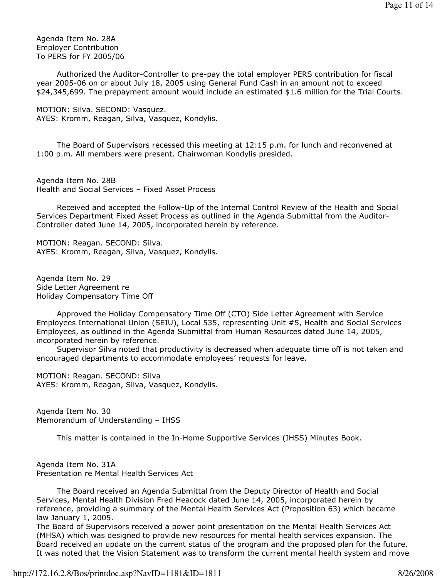Agenda Item No. 28A Employer Contribution To PERS for FY 2005/06

 Authorized the Auditor-Controller to pre-pay the total employer PERS contribution for fiscal year 2005-06 on or about July 18, 2005 using General Fund Cash in an amount not to exceed \$24,345,699. The prepayment amount would include an estimated \$1.6 million for the Trial Courts.

MOTION: Silva. SECOND: Vasquez. AYES: Kromm, Reagan, Silva, Vasquez, Kondylis.

 The Board of Supervisors recessed this meeting at 12:15 p.m. for lunch and reconvened at 1:00 p.m. All members were present. Chairwoman Kondylis presided.

Agenda Item No. 28B Health and Social Services – Fixed Asset Process

 Received and accepted the Follow-Up of the Internal Control Review of the Health and Social Services Department Fixed Asset Process as outlined in the Agenda Submittal from the Auditor-Controller dated June 14, 2005, incorporated herein by reference.

MOTION: Reagan. SECOND: Silva. AYES: Kromm, Reagan, Silva, Vasquez, Kondylis.

Agenda Item No. 29 Side Letter Agreement re Holiday Compensatory Time Off

 Approved the Holiday Compensatory Time Off (CTO) Side Letter Agreement with Service Employees International Union (SEIU), Local 535, representing Unit #5, Health and Social Services Employees, as outlined in the Agenda Submittal from Human Resources dated June 14, 2005, incorporated herein by reference.

 Supervisor Silva noted that productivity is decreased when adequate time off is not taken and encouraged departments to accommodate employees' requests for leave.

MOTION: Reagan. SECOND: Silva AYES: Kromm, Reagan, Silva, Vasquez, Kondylis.

Agenda Item No. 30 Memorandum of Understanding – IHSS

This matter is contained in the In-Home Supportive Services (IHSS) Minutes Book.

Agenda Item No. 31A Presentation re Mental Health Services Act

 The Board received an Agenda Submittal from the Deputy Director of Health and Social Services, Mental Health Division Fred Heacock dated June 14, 2005, incorporated herein by reference, providing a summary of the Mental Health Services Act (Proposition 63) which became law January 1, 2005.

The Board of Supervisors received a power point presentation on the Mental Health Services Act (MHSA) which was designed to provide new resources for mental health services expansion. The Board received an update on the current status of the program and the proposed plan for the future. It was noted that the Vision Statement was to transform the current mental health system and move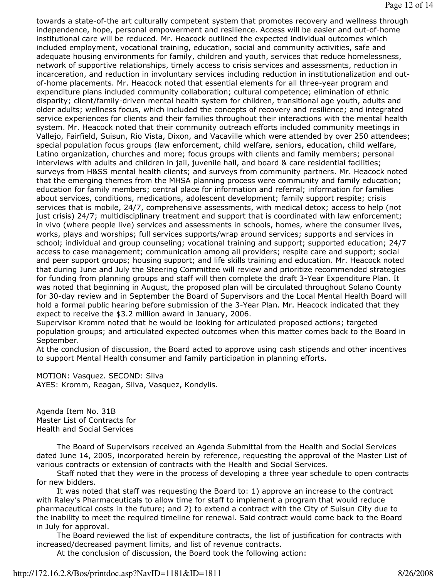towards a state-of-the art culturally competent system that promotes recovery and wellness through independence, hope, personal empowerment and resilience. Access will be easier and out-of-home institutional care will be reduced. Mr. Heacock outlined the expected individual outcomes which included employment, vocational training, education, social and community activities, safe and adequate housing environments for family, children and youth, services that reduce homelessness, network of supportive relationships, timely access to crisis services and assessments, reduction in incarceration, and reduction in involuntary services including reduction in institutionalization and outof-home placements. Mr. Heacock noted that essential elements for all three-year program and expenditure plans included community collaboration; cultural competence; elimination of ethnic disparity; client/family-driven mental health system for children, transitional age youth, adults and older adults; wellness focus, which included the concepts of recovery and resilience; and integrated service experiences for clients and their families throughout their interactions with the mental health system. Mr. Heacock noted that their community outreach efforts included community meetings in Vallejo, Fairfield, Suisun, Rio Vista, Dixon, and Vacaville which were attended by over 250 attendees; special population focus groups (law enforcement, child welfare, seniors, education, child welfare, Latino organization, churches and more; focus groups with clients and family members; personal interviews with adults and children in jail, juvenile hall, and board & care residential facilities; surveys from H&SS mental health clients; and surveys from community partners. Mr. Heacock noted that the emerging themes from the MHSA planning process were community and family education; education for family members; central place for information and referral; information for families about services, conditions, medications, adolescent development; family support respite; crisis services that is mobile, 24/7, comprehensive assessments, with medical detox; access to help (not just crisis) 24/7; multidisciplinary treatment and support that is coordinated with law enforcement; in vivo (where people live) services and assessments in schools, homes, where the consumer lives, works, plays and worships; full services supports/wrap around services; supports and services in school; individual and group counseling; vocational training and support; supported education; 24/7 access to case management; communication among all providers; respite care and support; social and peer support groups; housing support; and life skills training and education. Mr. Heacock noted that during June and July the Steering Committee will review and prioritize recommended strategies for funding from planning groups and staff will then complete the draft 3-Year Expenditure Plan. It was noted that beginning in August, the proposed plan will be circulated throughout Solano County for 30-day review and in September the Board of Supervisors and the Local Mental Health Board will hold a formal public hearing before submission of the 3-Year Plan. Mr. Heacock indicated that they expect to receive the \$3.2 million award in January, 2006.

Supervisor Kromm noted that he would be looking for articulated proposed actions; targeted population groups; and articulated expected outcomes when this matter comes back to the Board in September.

At the conclusion of discussion, the Board acted to approve using cash stipends and other incentives to support Mental Health consumer and family participation in planning efforts.

MOTION: Vasquez. SECOND: Silva AYES: Kromm, Reagan, Silva, Vasquez, Kondylis.

Agenda Item No. 31B Master List of Contracts for Health and Social Services

 The Board of Supervisors received an Agenda Submittal from the Health and Social Services dated June 14, 2005, incorporated herein by reference, requesting the approval of the Master List of various contracts or extension of contracts with the Health and Social Services.

 Staff noted that they were in the process of developing a three year schedule to open contracts for new bidders.

 It was noted that staff was requesting the Board to: 1) approve an increase to the contract with Raley's Pharmaceuticals to allow time for staff to implement a program that would reduce pharmaceutical costs in the future; and 2) to extend a contract with the City of Suisun City due to the inability to meet the required timeline for renewal. Said contract would come back to the Board in July for approval.

 The Board reviewed the list of expenditure contracts, the list of justification for contracts with increased/decreased payment limits, and list of revenue contracts.

At the conclusion of discussion, the Board took the following action: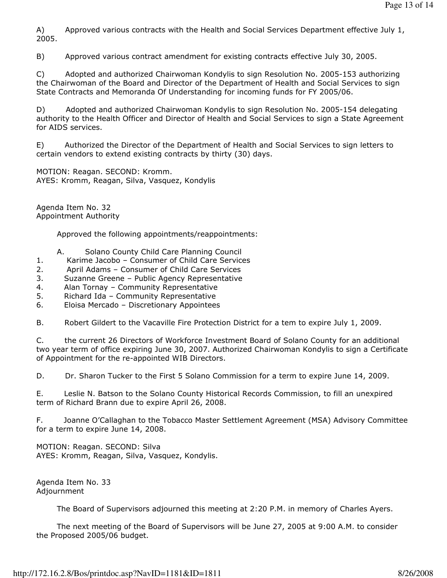A) Approved various contracts with the Health and Social Services Department effective July 1, 2005.

B) Approved various contract amendment for existing contracts effective July 30, 2005.

C) Adopted and authorized Chairwoman Kondylis to sign Resolution No. 2005-153 authorizing the Chairwoman of the Board and Director of the Department of Health and Social Services to sign State Contracts and Memoranda Of Understanding for incoming funds for FY 2005/06.

D) Adopted and authorized Chairwoman Kondylis to sign Resolution No. 2005-154 delegating authority to the Health Officer and Director of Health and Social Services to sign a State Agreement for AIDS services.

E) Authorized the Director of the Department of Health and Social Services to sign letters to certain vendors to extend existing contracts by thirty (30) days.

MOTION: Reagan. SECOND: Kromm. AYES: Kromm, Reagan, Silva, Vasquez, Kondylis

Agenda Item No. 32 Appointment Authority

Approved the following appointments/reappointments:

- A. Solano County Child Care Planning Council
- 1. Karime Jacobo Consumer of Child Care Services
- 2. April Adams Consumer of Child Care Services
- 3. Suzanne Greene Public Agency Representative
- 4. Alan Tornay Community Representative
- 5. Richard Ida Community Representative
- 6. Eloisa Mercado Discretionary Appointees

B. Robert Gildert to the Vacaville Fire Protection District for a tem to expire July 1, 2009.

C. the current 26 Directors of Workforce Investment Board of Solano County for an additional two year term of office expiring June 30, 2007. Authorized Chairwoman Kondylis to sign a Certificate of Appointment for the re-appointed WIB Directors.

D. Dr. Sharon Tucker to the First 5 Solano Commission for a term to expire June 14, 2009.

E. Leslie N. Batson to the Solano County Historical Records Commission, to fill an unexpired term of Richard Brann due to expire April 26, 2008.

F. Joanne O'Callaghan to the Tobacco Master Settlement Agreement (MSA) Advisory Committee for a term to expire June 14, 2008.

MOTION: Reagan. SECOND: Silva AYES: Kromm, Reagan, Silva, Vasquez, Kondylis.

Agenda Item No. 33 Adjournment

The Board of Supervisors adjourned this meeting at 2:20 P.M. in memory of Charles Ayers.

 The next meeting of the Board of Supervisors will be June 27, 2005 at 9:00 A.M. to consider the Proposed 2005/06 budget.